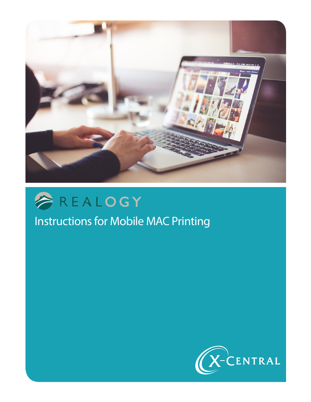



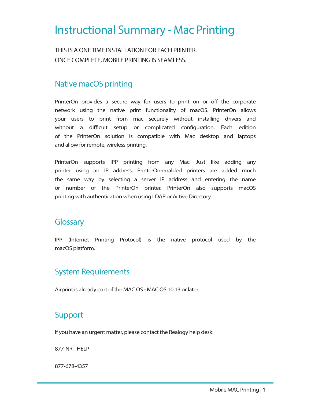## Instructional Summary - Mac Printing

THIS IS A ONE TIME INSTALL ATION FOR FACH PRINTER. ONCE COMPLETE, MOBILE PRINTING IS SEAMLESS.

## Native macOS printing

PrinterOn provides a secure way for users to print on or off the corporate network using the native print functionality of macOS. PrinterOn allows your users to print from mac securely without installing drivers and without a difficult setup or complicated configuration. Each edition of the PrinterOn solution is compatible with Mac desktop and laptops and allow for remote, wireless printing.

PrinterOn supports IPP printing from any Mac. Just like adding any printer using an IP address, PrinterOn-enabled printers are added much the same way by selecting a server IP address and entering the name or number of the PrinterOn printer. PrinterOn also supports macOS printing with authentication when using LDAP or Active Directory.

#### **Glossary**

IPP (Internet Printing Protocol) is the native protocol used by the macOS platform.

## System Requirements

Airprint is already part of the MAC OS - MAC OS 10.13 or later.

## Support

If you have an urgent matter, please contact the Realogy help desk:

877-NRT-HELP

877-678-4357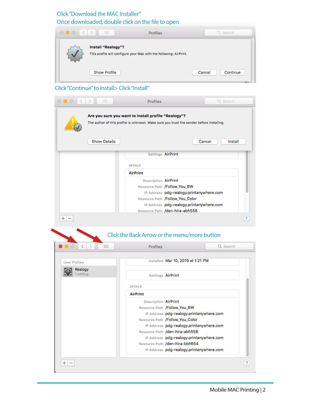#### Click "Download the MAC Installer" Once downloaded, double click on the file to open

| $\circ\bullet\circ$ | 88<br>$\rightarrow$<br><b>Profiles</b>                                                   | Q Search           |
|---------------------|------------------------------------------------------------------------------------------|--------------------|
| $\mathbf v$         | Install "Realogy"?<br>This profile will configure your Mac with the following: AirPrint. |                    |
|                     | <b>Show Profile</b>                                                                      | Continue<br>Cancel |

#### Click "Continue" to install> Click "Install"

| $\circ\bullet\circ$<br>$\langle$ | 88                  | <b>Profiles</b>                                     | Q Search                                                                                 |  |
|----------------------------------|---------------------|-----------------------------------------------------|------------------------------------------------------------------------------------------|--|
|                                  |                     | Are you sure you want to install profile "Realogy"? | The author of this profile is unknown. Make sure you trust the sender before installing. |  |
|                                  | <b>Show Details</b> |                                                     | Cancel<br>Install                                                                        |  |
|                                  |                     | <b>Settings AirPrint</b>                            |                                                                                          |  |
|                                  |                     | <b>DETAILS</b>                                      |                                                                                          |  |
|                                  |                     | <b>AirPrint</b>                                     |                                                                                          |  |
|                                  |                     | <b>Description AirPrint</b>                         |                                                                                          |  |
|                                  |                     | Resource Path /Follow_You_BW                        |                                                                                          |  |
|                                  |                     |                                                     | IP Address pdg-realogy.printanywhere.com                                                 |  |
|                                  |                     | Resource Path /Follow_You_Color                     | IP Address pdg-realogy.printanywhere.com                                                 |  |
|                                  |                     | Resource Path /den-hira-abh558                      |                                                                                          |  |
|                                  |                     |                                                     |                                                                                          |  |
| $^+$<br>$\overline{\phantom{0}}$ |                     | Click the Back Arrow or the menu/more button        |                                                                                          |  |
| $\bullet$ $\circ$<br>く           | ₩                   | <b>Profiles</b>                                     | Q Search                                                                                 |  |
| <b>User Profiles</b>             |                     |                                                     | Installed Mar 10, 2019 at 1:21 PM                                                        |  |
| Realogy<br>1 setting             |                     | <b>Settings AirPrint</b>                            |                                                                                          |  |
|                                  |                     | <b>DETAILS</b>                                      |                                                                                          |  |
|                                  |                     | <b>AirPrint</b>                                     |                                                                                          |  |
|                                  |                     | <b>Description AirPrint</b>                         |                                                                                          |  |
|                                  |                     | Resource Path /Follow_You_BW                        |                                                                                          |  |
|                                  |                     |                                                     | IP Address pdg-realogy.printanywhere.com                                                 |  |
|                                  |                     |                                                     | Resource Path /Follow_You_Color                                                          |  |
|                                  |                     |                                                     | IP Address pdg-realogy.printanywhere.com<br>Resource Path /den-hira-abh558               |  |
|                                  |                     |                                                     | IP Address pdg-realogy.printanywhere.com                                                 |  |
|                                  |                     |                                                     | Resource Path /den-hira-bbh654<br>IP Address pdg-realogy.printanywhere.com               |  |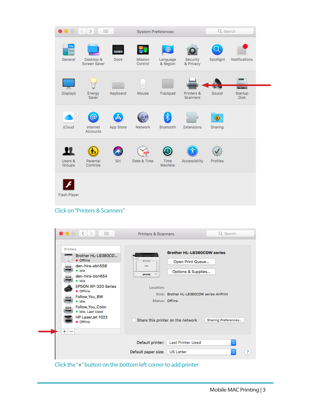| $\bullet$ $\circ$             | <b>::::</b><br>$\rightarrow$<br>L.        |                        | <b>System Preferences</b>      |                      |                               | Q Search            |                                            |
|-------------------------------|-------------------------------------------|------------------------|--------------------------------|----------------------|-------------------------------|---------------------|--------------------------------------------|
| File<br>New<br>Ope<br>General | Desktop &<br><b>Screen Saver</b>          | 0 1 0 0<br><b>Dock</b> | Mission<br>Control             | Language<br>& Region | Security<br>& Privacy         | Spotlight           | Notifications                              |
| Displays                      | Energy<br>Saver                           | Keyboard               | Mouse                          | Trackpad             | Printers &<br><b>Scanners</b> | Sound               | <b>Community</b><br>Startup<br><b>Disk</b> |
| <b>iCloud</b>                 | Q<br>Internet<br><b>Accounts</b>          | App Store              | Network                        | ∦<br>Bluetooth       | Extensions                    | <b>◆</b><br>Sharing |                                            |
| Users &<br>Groups             | Parental<br>Controls                      | Siri                   | $\overline{18}$<br>Date & Time | Time<br>Machine      | Accessibility                 | Profiles            |                                            |
| Flash Player                  |                                           |                        |                                |                      |                               |                     |                                            |
|                               | <b>Click on "Printers &amp; Scanners"</b> |                        |                                |                      |                               |                     |                                            |

| • Offline<br>Open Print Queue<br>den-hira-abh558<br>techer<br>· Idle<br>Options & Supplies<br>п<br>den-hira-bbh654<br>• Idle<br><b>EPSON XP-320 Series</b><br>Location:<br>• Offline<br>Kind: Brother HL-L8360CDW series-AirPrint<br>Follow_You_BW<br><b>Status: Offline</b><br>• Idle<br>Follow_You_Color<br>· Idle, Last Used<br>HP LaserJet 1022<br>Share this printer on the network<br>Sharing Preferences<br><b>Offline</b><br>$^{+}$<br>$\overline{\phantom{m}}$ | <b>Printers</b><br>Brother HL-L8360CD | <b>Brother HL-L8360CDW series</b>            |                         |
|-------------------------------------------------------------------------------------------------------------------------------------------------------------------------------------------------------------------------------------------------------------------------------------------------------------------------------------------------------------------------------------------------------------------------------------------------------------------------|---------------------------------------|----------------------------------------------|-------------------------|
|                                                                                                                                                                                                                                                                                                                                                                                                                                                                         |                                       |                                              |                         |
|                                                                                                                                                                                                                                                                                                                                                                                                                                                                         |                                       |                                              |                         |
|                                                                                                                                                                                                                                                                                                                                                                                                                                                                         |                                       | ¢<br>Default paper size:<br><b>US Letter</b> | $\overline{\mathbf{r}}$ |

Click the "+" button on the bottom left corner to add printer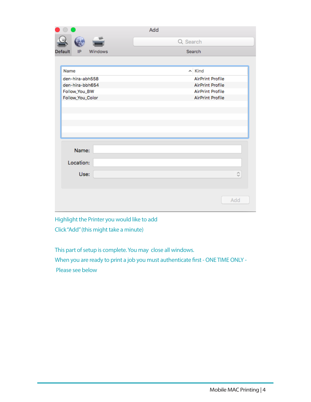|                          | Add                     |
|--------------------------|-------------------------|
|                          | Q Search                |
| Default<br>IP<br>Windows | Search                  |
|                          |                         |
| Name                     | $\sim$ Kind             |
| den-hira-abh558          | <b>AirPrint Profile</b> |
| den-hira-bbh654          | <b>AirPrint Profile</b> |
| Follow_You_BW            | <b>AirPrint Profile</b> |
| Follow_You_Color         | <b>AirPrint Profile</b> |
|                          |                         |
|                          |                         |
|                          |                         |
|                          |                         |
|                          |                         |
| Name:                    |                         |
|                          |                         |
| Location:                |                         |
| Use:                     | $\hat{\mathbf{c}}$      |
|                          |                         |
|                          |                         |
|                          |                         |
|                          | Add                     |
|                          |                         |

Highlight the Printer you would like to add Click "Add" (this might take a minute)

This part of setup is complete. You may close all windows.

When you are ready to print a job you must authenticate first - ONE TIME ONLY - Please see below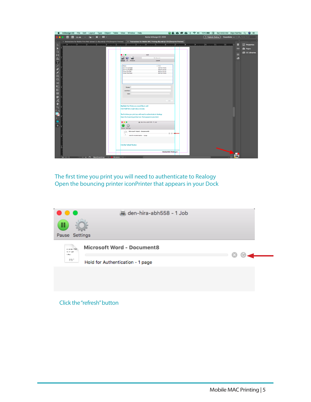| InDesign CC File Edit Layout Type Object Table View Window Help                                                                                                                                      |                                                                   |                                             | <b>BAQ © B</b> * 令 <sup>(*)</sup> 100% 図 国 Sat 9:53 AM Dlyn Fairfax Q ◎ 三 |                               |
|------------------------------------------------------------------------------------------------------------------------------------------------------------------------------------------------------|-------------------------------------------------------------------|---------------------------------------------|---------------------------------------------------------------------------|-------------------------------|
| 図 55.4% ▽ 置 > ■ > ■ ><br>Bf                                                                                                                                                                          |                                                                   | Adobe InDesign CC 2019                      | $($ $\pm$ Publish Online<br>Essentials $\sim$                             | Adobe Stock                   |
| X Instructions for Mobile Print Web Upload (1) dfp.indd @ 47% [Overprint Preview] X *Instructions for Mobile MAC Printing dfp.indd @ 55% [Overprint Preview]                                         |                                                                   |                                             |                                                                           |                               |
| $\triangleright$                                                                                                                                                                                     |                                                                   |                                             |                                                                           | <sup>2</sup> Properties<br>∙  |
| $\overline{0}$                                                                                                                                                                                       |                                                                   |                                             |                                                                           |                               |
| $\blacktriangleright$                                                                                                                                                                                |                                                                   |                                             |                                                                           | $\infty$<br><b>illi</b> Pages |
| $\mathbb{D}$                                                                                                                                                                                         |                                                                   |                                             |                                                                           | CC Libraries                  |
| $\mathbb{H}$                                                                                                                                                                                         |                                                                   | Add                                         |                                                                           | ≡                             |
| ù                                                                                                                                                                                                    |                                                                   | Q. Search                                   |                                                                           | க                             |
|                                                                                                                                                                                                      | Windows<br><b>Detauti</b><br>$\mathbb{P}$                         | Scorch                                      |                                                                           |                               |
| $\frac{T}{\sqrt{2}}$                                                                                                                                                                                 | Name                                                              | $\sim$ Kind                                 |                                                                           |                               |
|                                                                                                                                                                                                      | den-hira-abhss8                                                   | <b>AirPrint Profile</b>                     |                                                                           |                               |
|                                                                                                                                                                                                      | den-hira-boh654                                                   | <b>AirPrint Profile</b>                     |                                                                           |                               |
|                                                                                                                                                                                                      | Follow, You, BW<br>Follow You Color                               | <b>AirPrint Profile</b><br>AirPrint Profile |                                                                           |                               |
|                                                                                                                                                                                                      |                                                                   |                                             |                                                                           |                               |
|                                                                                                                                                                                                      |                                                                   |                                             |                                                                           |                               |
|                                                                                                                                                                                                      |                                                                   |                                             |                                                                           |                               |
|                                                                                                                                                                                                      |                                                                   |                                             |                                                                           |                               |
| $\mathbf{W} \leq \mathbb{E} \otimes \mathbb{E} \times \mathbb{E}$                                                                                                                                    |                                                                   |                                             |                                                                           |                               |
| D                                                                                                                                                                                                    | Nome:                                                             |                                             |                                                                           |                               |
|                                                                                                                                                                                                      | Location:                                                         |                                             |                                                                           |                               |
| 圖                                                                                                                                                                                                    | Use:                                                              | ÷.                                          |                                                                           |                               |
| 昆                                                                                                                                                                                                    |                                                                   |                                             |                                                                           |                               |
| $\mathcal{J}_m$                                                                                                                                                                                      |                                                                   | Add                                         |                                                                           |                               |
| ₩                                                                                                                                                                                                    |                                                                   |                                             |                                                                           |                               |
| $\mathsf Q$                                                                                                                                                                                          | Highlight the Printer you would like to add                       |                                             |                                                                           |                               |
|                                                                                                                                                                                                      | Click "Add" (this might take a minute)                            |                                             |                                                                           |                               |
| Î,                                                                                                                                                                                                   |                                                                   |                                             |                                                                           |                               |
|                                                                                                                                                                                                      | The first time you print you will need to authenticate to Realogy |                                             |                                                                           |                               |
| $\boxminus$ T                                                                                                                                                                                        | Open the bouncing printer icon that appears in your dock          |                                             |                                                                           |                               |
|                                                                                                                                                                                                      |                                                                   |                                             |                                                                           |                               |
|                                                                                                                                                                                                      | $\bullet\bullet\bullet$                                           | den-hira-abh558 - 1 Job                     |                                                                           |                               |
| ⊠ ∫                                                                                                                                                                                                  |                                                                   |                                             |                                                                           |                               |
|                                                                                                                                                                                                      | Pause Settings                                                    |                                             |                                                                           |                               |
|                                                                                                                                                                                                      | Microsoft Word - Document8<br>control.                            |                                             |                                                                           |                               |
|                                                                                                                                                                                                      |                                                                   | $00-$                                       |                                                                           |                               |
|                                                                                                                                                                                                      | Hold for Authentication - 1 poge                                  |                                             |                                                                           |                               |
|                                                                                                                                                                                                      |                                                                   |                                             |                                                                           |                               |
|                                                                                                                                                                                                      |                                                                   |                                             |                                                                           |                               |
|                                                                                                                                                                                                      | Click the "refresh" button                                        |                                             |                                                                           |                               |
|                                                                                                                                                                                                      |                                                                   |                                             |                                                                           |                               |
|                                                                                                                                                                                                      |                                                                   | Mobile MAC Printing   5                     |                                                                           |                               |
|                                                                                                                                                                                                      |                                                                   |                                             |                                                                           |                               |
| $\vert A \vert A \vert \vert S \vert$ $\vert \vee \vert$ $\vert \star \vert M \vert \vert \vert \bar{C} \vert$ (Rasici (working) $\vert \vee \vert \vert \bar{C} \vert$ 36 errors $\vert \vee \vert$ |                                                                   |                                             |                                                                           |                               |

The first time you print you will need to authenticate to Realogy Open the bouncing printer iconPrinter that appears in your Dock

| Ш<br>Pause Settings<br>Microsoft Word - Document8<br><b>MARINE 1980</b><br>the college of<br>E d'Anto<br>FDT.<br>Hold for Authentication - 1 page |  | den-hira-abh558 - 1 Job |  |
|---------------------------------------------------------------------------------------------------------------------------------------------------|--|-------------------------|--|
|                                                                                                                                                   |  |                         |  |
|                                                                                                                                                   |  |                         |  |
|                                                                                                                                                   |  |                         |  |
|                                                                                                                                                   |  |                         |  |

Click the "refresh" button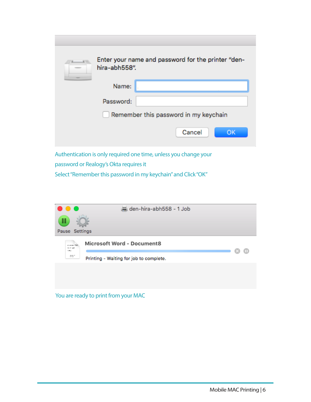| hira-abh558". | Enter your name and password for the printer "den- |
|---------------|----------------------------------------------------|
| Name:         |                                                    |
| Password:     |                                                    |
|               | Remember this password in my keychain              |
|               | Cancel<br>OK                                       |
|               |                                                    |

Authentication is only required one time, unless you change your password or Realogy's Okta requires it Select "Remember this password in my keychain" and Click "OK"



You are ready to print from your MAC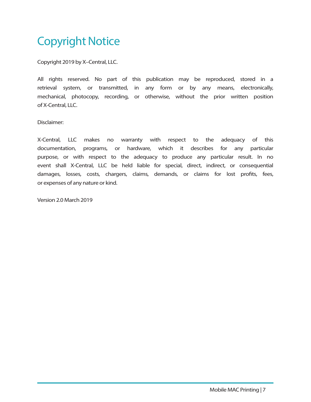# Copyright Notice

Copyright 2019 by X–Central, LLC.

All rights reserved. No part of this publication may be reproduced, stored in a retrieval system, or transmitted, in any form or by any means, electronically, mechanical, photocopy, recording, or otherwise, without the prior written position of X-Central, LLC.

Disclaimer:

X-Central, LLC makes no warranty with respect to the adequacy of this documentation, programs, or hardware, which it describes for any particular purpose, or with respect to the adequacy to produce any particular result. In no event shall X-Central, LLC be held liable for special, direct, indirect, or consequential damages, losses, costs, chargers, claims, demands, or claims for lost profits, fees, or expenses of any nature or kind.

Version 2.0 March 2019